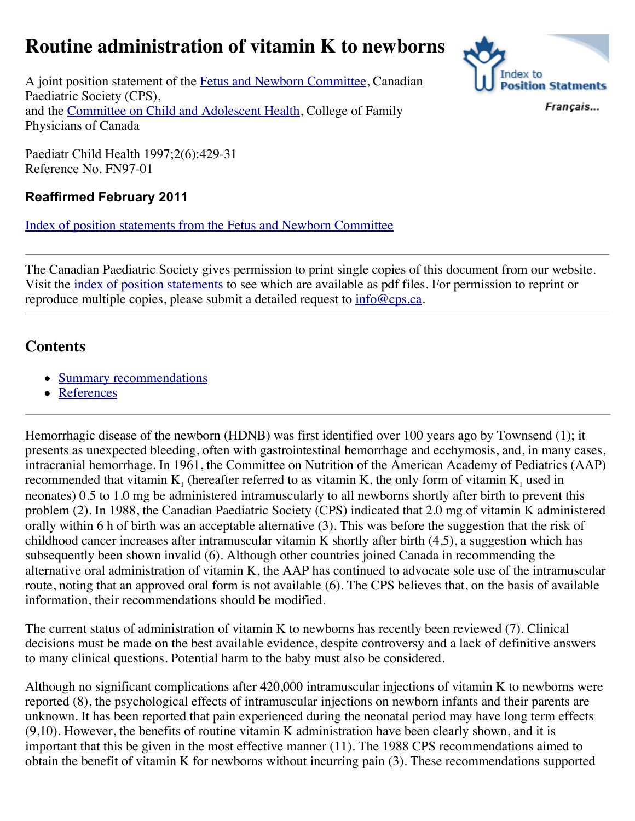# **Routine administration of vitamin K to newborns**



A joint position statement of the [Fetus and Newborn Committee,](http://www.cps.ca/english/statements/fn/fn97-01.htm#Fetus%20and%20Newborn) Canadian Paediatric Society (CPS), and the [Committee on Child and Adolescent Health,](http://www.cps.ca/english/statements/fn/fn97-01.htm#Child%20Adol%20Health) College of Family Physicians of Canada

Francais...

Paediatr Child Health 1997;2(6):429-31 Reference No. FN97-01

## **Reaffirmed February 2011**

[Index of position statements from the Fetus and Newborn Committee](http://www.cps.ca/english/publications/FetusAndNewborn.htm)

The Canadian Paediatric Society gives permission to print single copies of this document from our website. Visit the [index of position statements](http://www.cps.ca/english/publications/StatementsIndex.htm) to see which are available as pdf files. For permission to reprint or reproduce multiple copies, please submit a detailed request to [info@cps.ca.](mailto:info@cps.ca)

## **Contents**

- [Summary recommendations](http://www.cps.ca/english/statements/fn/fn97-01.htm#Summary)
- [References](http://www.cps.ca/english/statements/fn/fn97-01.htm#References)

Hemorrhagic disease of the newborn (HDNB) was first identified over 100 years ago by Townsend (1); it presents as unexpected bleeding, often with gastrointestinal hemorrhage and ecchymosis, and, in many cases, intracranial hemorrhage. In 1961, the Committee on Nutrition of the American Academy of Pediatrics (AAP) recommended that vitamin  $K_1$  (hereafter referred to as vitamin K, the only form of vitamin  $K_1$  used in neonates) 0.5 to 1.0 mg be administered intramuscularly to all newborns shortly after birth to prevent this problem (2). In 1988, the Canadian Paediatric Society (CPS) indicated that 2.0 mg of vitamin K administered orally within 6 h of birth was an acceptable alternative (3). This was before the suggestion that the risk of childhood cancer increases after intramuscular vitamin K shortly after birth (4,5), a suggestion which has subsequently been shown invalid (6). Although other countries joined Canada in recommending the alternative oral administration of vitamin K, the AAP has continued to advocate sole use of the intramuscular route, noting that an approved oral form is not available (6). The CPS believes that, on the basis of available information, their recommendations should be modified.

The current status of administration of vitamin K to newborns has recently been reviewed (7). Clinical decisions must be made on the best available evidence, despite controversy and a lack of definitive answers to many clinical questions. Potential harm to the baby must also be considered.

Although no significant complications after 420,000 intramuscular injections of vitamin K to newborns were reported (8), the psychological effects of intramuscular injections on newborn infants and their parents are unknown. It has been reported that pain experienced during the neonatal period may have long term effects (9,10). However, the benefits of routine vitamin K administration have been clearly shown, and it is important that this be given in the most effective manner (11). The 1988 CPS recommendations aimed to obtain the benefit of vitamin K for newborns without incurring pain (3). These recommendations supported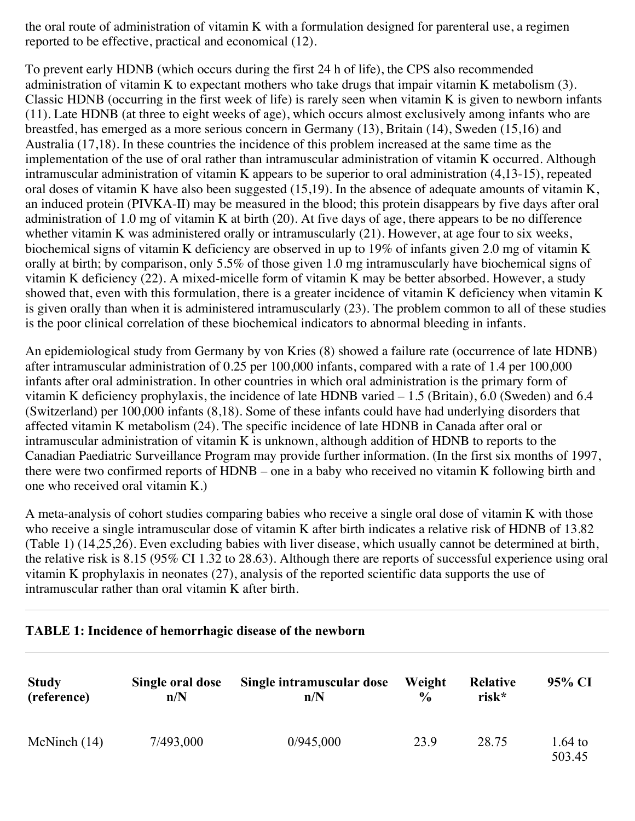the oral route of administration of vitamin K with a formulation designed for parenteral use, a regimen reported to be effective, practical and economical (12).

To prevent early HDNB (which occurs during the first 24 h of life), the CPS also recommended administration of vitamin K to expectant mothers who take drugs that impair vitamin K metabolism (3). Classic HDNB (occurring in the first week of life) is rarely seen when vitamin K is given to newborn infants (11). Late HDNB (at three to eight weeks of age), which occurs almost exclusively among infants who are breastfed, has emerged as a more serious concern in Germany (13), Britain (14), Sweden (15,16) and Australia (17,18). In these countries the incidence of this problem increased at the same time as the implementation of the use of oral rather than intramuscular administration of vitamin K occurred. Although intramuscular administration of vitamin K appears to be superior to oral administration (4,13-15), repeated oral doses of vitamin K have also been suggested (15,19). In the absence of adequate amounts of vitamin K, an induced protein (PIVKA-II) may be measured in the blood; this protein disappears by five days after oral administration of 1.0 mg of vitamin K at birth (20). At five days of age, there appears to be no difference whether vitamin K was administered orally or intramuscularly (21). However, at age four to six weeks, biochemical signs of vitamin K deficiency are observed in up to 19% of infants given 2.0 mg of vitamin K orally at birth; by comparison, only 5.5% of those given 1.0 mg intramuscularly have biochemical signs of vitamin K deficiency (22). A mixed-micelle form of vitamin K may be better absorbed. However, a study showed that, even with this formulation, there is a greater incidence of vitamin K deficiency when vitamin K is given orally than when it is administered intramuscularly (23). The problem common to all of these studies is the poor clinical correlation of these biochemical indicators to abnormal bleeding in infants.

An epidemiological study from Germany by von Kries (8) showed a failure rate (occurrence of late HDNB) after intramuscular administration of 0.25 per 100,000 infants, compared with a rate of 1.4 per 100,000 infants after oral administration. In other countries in which oral administration is the primary form of vitamin K deficiency prophylaxis, the incidence of late HDNB varied – 1.5 (Britain), 6.0 (Sweden) and 6.4 (Switzerland) per 100,000 infants (8,18). Some of these infants could have had underlying disorders that affected vitamin K metabolism (24). The specific incidence of late HDNB in Canada after oral or intramuscular administration of vitamin K is unknown, although addition of HDNB to reports to the Canadian Paediatric Surveillance Program may provide further information. (In the first six months of 1997, there were two confirmed reports of HDNB – one in a baby who received no vitamin K following birth and one who received oral vitamin K.)

A meta-analysis of cohort studies comparing babies who receive a single oral dose of vitamin K with those who receive a single intramuscular dose of vitamin K after birth indicates a relative risk of HDNB of 13.82 (Table 1) (14,25,26). Even excluding babies with liver disease, which usually cannot be determined at birth, the relative risk is 8.15 (95% CI 1.32 to 28.63). Although there are reports of successful experience using oral vitamin K prophylaxis in neonates (27), analysis of the reported scientific data supports the use of intramuscular rather than oral vitamin K after birth.

#### **TABLE 1: Incidence of hemorrhagic disease of the newborn**

| <b>Study</b>   | Single oral dose | Single intramuscular dose | Weight        | Relative | 95% CI            |
|----------------|------------------|---------------------------|---------------|----------|-------------------|
| (reference)    | n/N              | n/N                       | $\frac{0}{0}$ | risk*    |                   |
| McNinch $(14)$ | 7/493,000        | 0/945,000                 | 23.9          | 28.75    | 1.64 to<br>503.45 |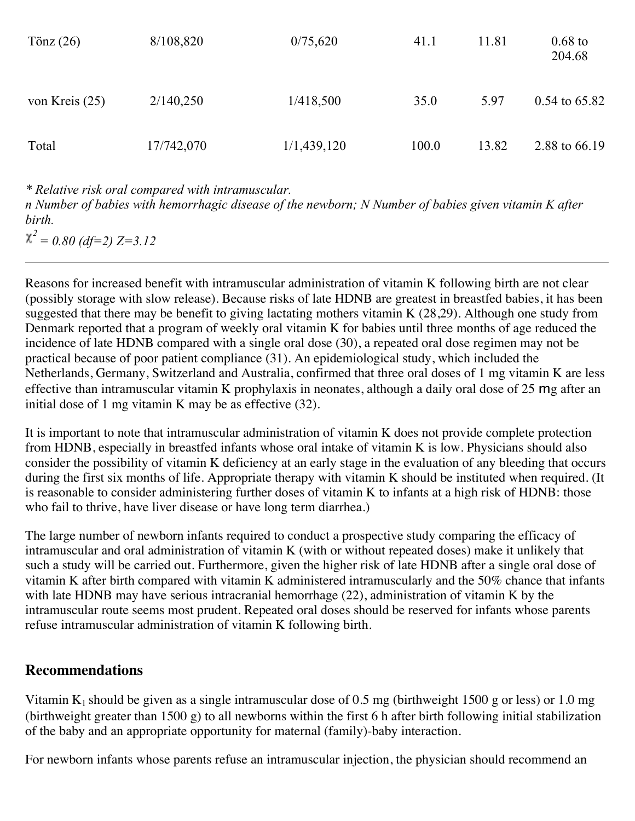| Tönz $(26)$      | 8/108,820  | 0/75,620    | 41.1  | 11.81 | $0.68$ to<br>204.68 |
|------------------|------------|-------------|-------|-------|---------------------|
| von Kreis $(25)$ | 2/140,250  | 1/418,500   | 35.0  | 5.97  | $0.54$ to 65.82     |
| Total            | 17/742,070 | 1/1,439,120 | 100.0 | 13.82 | 2.88 to 66.19       |

*\* Relative risk oral compared with intramuscular.*

*n Number of babies with hemorrhagic disease of the newborn; N Number of babies given vitamin K after birth.*

 $\chi^2$  = 0.80 (df=2) Z=3.12

Reasons for increased benefit with intramuscular administration of vitamin K following birth are not clear (possibly storage with slow release). Because risks of late HDNB are greatest in breastfed babies, it has been suggested that there may be benefit to giving lactating mothers vitamin K  $(28,29)$ . Although one study from Denmark reported that a program of weekly oral vitamin K for babies until three months of age reduced the incidence of late HDNB compared with a single oral dose (30), a repeated oral dose regimen may not be practical because of poor patient compliance (31). An epidemiological study, which included the Netherlands, Germany, Switzerland and Australia, confirmed that three oral doses of 1 mg vitamin K are less effective than intramuscular vitamin K prophylaxis in neonates, although a daily oral dose of 25 mg after an initial dose of 1 mg vitamin K may be as effective (32).

It is important to note that intramuscular administration of vitamin K does not provide complete protection from HDNB, especially in breastfed infants whose oral intake of vitamin K is low. Physicians should also consider the possibility of vitamin K deficiency at an early stage in the evaluation of any bleeding that occurs during the first six months of life. Appropriate therapy with vitamin K should be instituted when required. (It is reasonable to consider administering further doses of vitamin K to infants at a high risk of HDNB: those who fail to thrive, have liver disease or have long term diarrhea.)

The large number of newborn infants required to conduct a prospective study comparing the efficacy of intramuscular and oral administration of vitamin K (with or without repeated doses) make it unlikely that such a study will be carried out. Furthermore, given the higher risk of late HDNB after a single oral dose of vitamin K after birth compared with vitamin K administered intramuscularly and the 50% chance that infants with late HDNB may have serious intracranial hemorrhage (22), administration of vitamin K by the intramuscular route seems most prudent. Repeated oral doses should be reserved for infants whose parents refuse intramuscular administration of vitamin K following birth.

### **Recommendations**

Vitamin  $K_1$  should be given as a single intramuscular dose of 0.5 mg (birthweight 1500 g or less) or 1.0 mg (birthweight greater than 1500 g) to all newborns within the first 6 h after birth following initial stabilization of the baby and an appropriate opportunity for maternal (family)-baby interaction.

For newborn infants whose parents refuse an intramuscular injection, the physician should recommend an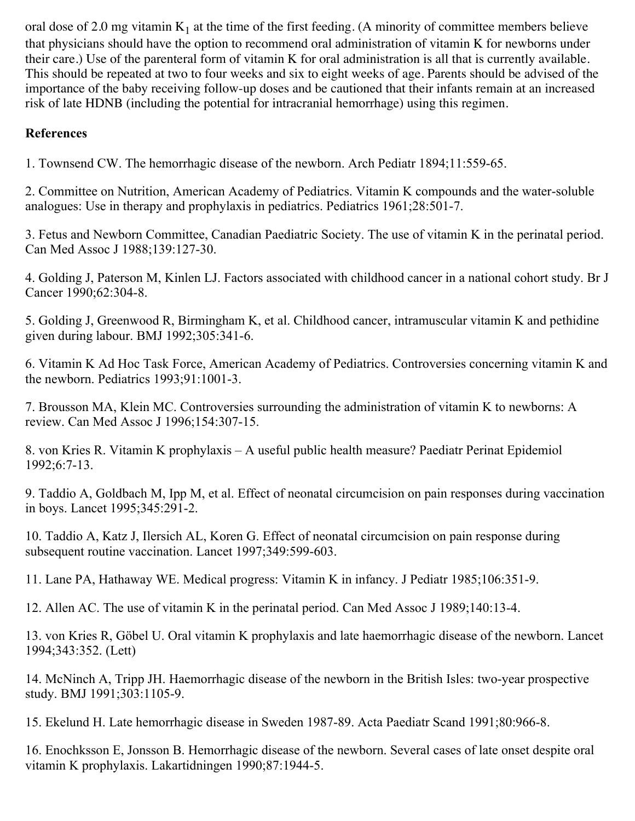oral dose of 2.0 mg vitamin  $K_1$  at the time of the first feeding. (A minority of committee members believe that physicians should have the option to recommend oral administration of vitamin K for newborns under their care.) Use of the parenteral form of vitamin K for oral administration is all that is currently available. This should be repeated at two to four weeks and six to eight weeks of age. Parents should be advised of the importance of the baby receiving follow-up doses and be cautioned that their infants remain at an increased risk of late HDNB (including the potential for intracranial hemorrhage) using this regimen.

## **References**

1. Townsend CW. The hemorrhagic disease of the newborn. Arch Pediatr 1894;11:559-65.

2. Committee on Nutrition, American Academy of Pediatrics. Vitamin K compounds and the water-soluble analogues: Use in therapy and prophylaxis in pediatrics. Pediatrics 1961;28:501-7.

3. Fetus and Newborn Committee, Canadian Paediatric Society. The use of vitamin K in the perinatal period. Can Med Assoc J 1988;139:127-30.

4. Golding J, Paterson M, Kinlen LJ. Factors associated with childhood cancer in a national cohort study. Br J Cancer 1990;62:304-8.

5. Golding J, Greenwood R, Birmingham K, et al. Childhood cancer, intramuscular vitamin K and pethidine given during labour. BMJ 1992;305:341-6.

6. Vitamin K Ad Hoc Task Force, American Academy of Pediatrics. Controversies concerning vitamin K and the newborn. Pediatrics 1993;91:1001-3.

7. Brousson MA, Klein MC. Controversies surrounding the administration of vitamin K to newborns: A review. Can Med Assoc J 1996;154:307-15.

8. von Kries R. Vitamin K prophylaxis – A useful public health measure? Paediatr Perinat Epidemiol 1992;6:7-13.

9. Taddio A, Goldbach M, Ipp M, et al. Effect of neonatal circumcision on pain responses during vaccination in boys. Lancet 1995;345:291-2.

10. Taddio A, Katz J, Ilersich AL, Koren G. Effect of neonatal circumcision on pain response during subsequent routine vaccination. Lancet 1997;349:599-603.

11. Lane PA, Hathaway WE. Medical progress: Vitamin K in infancy. J Pediatr 1985;106:351-9.

12. Allen AC. The use of vitamin K in the perinatal period. Can Med Assoc J 1989;140:13-4.

13. von Kries R, Göbel U. Oral vitamin K prophylaxis and late haemorrhagic disease of the newborn. Lancet 1994;343:352. (Lett)

14. McNinch A, Tripp JH. Haemorrhagic disease of the newborn in the British Isles: two-year prospective study. BMJ 1991;303:1105-9.

15. Ekelund H. Late hemorrhagic disease in Sweden 1987-89. Acta Paediatr Scand 1991;80:966-8.

16. Enochksson E, Jonsson B. Hemorrhagic disease of the newborn. Several cases of late onset despite oral vitamin K prophylaxis. Lakartidningen 1990;87:1944-5.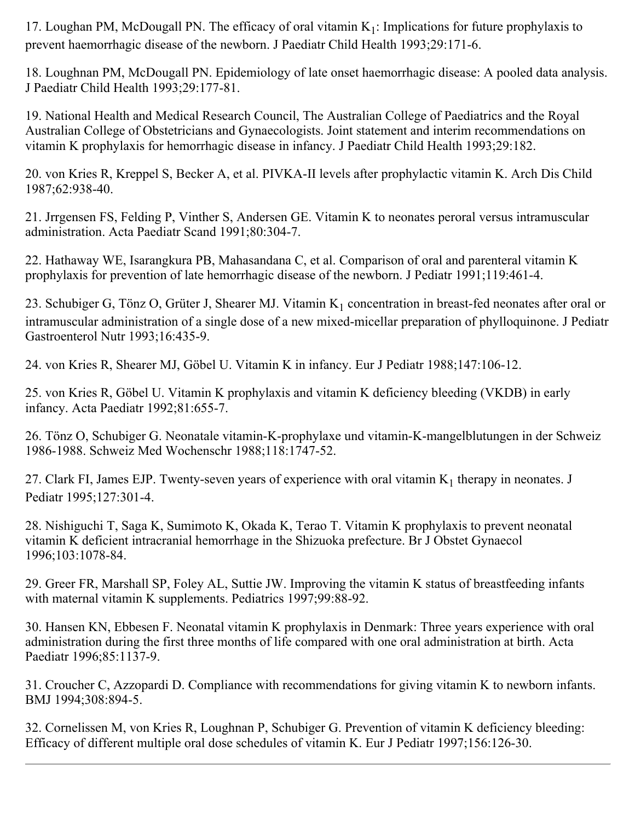17. Loughan PM, McDougall PN. The efficacy of oral vitamin  $K_1$ : Implications for future prophylaxis to prevent haemorrhagic disease of the newborn. J Paediatr Child Health 1993;29:171-6.

18. Loughnan PM, McDougall PN. Epidemiology of late onset haemorrhagic disease: A pooled data analysis. J Paediatr Child Health 1993;29:177-81.

19. National Health and Medical Research Council, The Australian College of Paediatrics and the Royal Australian College of Obstetricians and Gynaecologists. Joint statement and interim recommendations on vitamin K prophylaxis for hemorrhagic disease in infancy. J Paediatr Child Health 1993;29:182.

20. von Kries R, Kreppel S, Becker A, et al. PIVKA-II levels after prophylactic vitamin K. Arch Dis Child 1987;62:938-40.

21. Jrrgensen FS, Felding P, Vinther S, Andersen GE. Vitamin K to neonates peroral versus intramuscular administration. Acta Paediatr Scand 1991;80:304-7.

22. Hathaway WE, Isarangkura PB, Mahasandana C, et al. Comparison of oral and parenteral vitamin K prophylaxis for prevention of late hemorrhagic disease of the newborn. J Pediatr 1991;119:461-4.

23. Schubiger G, Tönz O, Grüter J, Shearer MJ. Vitamin  $K_1$  concentration in breast-fed neonates after oral or intramuscular administration of a single dose of a new mixed-micellar preparation of phylloquinone. J Pediatr Gastroenterol Nutr 1993;16:435-9.

24. von Kries R, Shearer MJ, Göbel U. Vitamin K in infancy. Eur J Pediatr 1988;147:106-12.

25. von Kries R, Göbel U. Vitamin K prophylaxis and vitamin K deficiency bleeding (VKDB) in early infancy. Acta Paediatr 1992;81:655-7.

26. Tönz O, Schubiger G. Neonatale vitamin-K-prophylaxe und vitamin-K-mangelblutungen in der Schweiz 1986-1988. Schweiz Med Wochenschr 1988;118:1747-52.

27. Clark FI, James EJP. Twenty-seven years of experience with oral vitamin  $K_1$  therapy in neonates. J Pediatr 1995;127:301-4.

28. Nishiguchi T, Saga K, Sumimoto K, Okada K, Terao T. Vitamin K prophylaxis to prevent neonatal vitamin K deficient intracranial hemorrhage in the Shizuoka prefecture. Br J Obstet Gynaecol 1996;103:1078-84.

29. Greer FR, Marshall SP, Foley AL, Suttie JW. Improving the vitamin K status of breastfeeding infants with maternal vitamin K supplements. Pediatrics 1997;99:88-92.

30. Hansen KN, Ebbesen F. Neonatal vitamin K prophylaxis in Denmark: Three years experience with oral administration during the first three months of life compared with one oral administration at birth. Acta Paediatr 1996;85:1137-9.

31. Croucher C, Azzopardi D. Compliance with recommendations for giving vitamin K to newborn infants. BMJ 1994;308:894-5.

32. Cornelissen M, von Kries R, Loughnan P, Schubiger G. Prevention of vitamin K deficiency bleeding: Efficacy of different multiple oral dose schedules of vitamin K. Eur J Pediatr 1997;156:126-30.